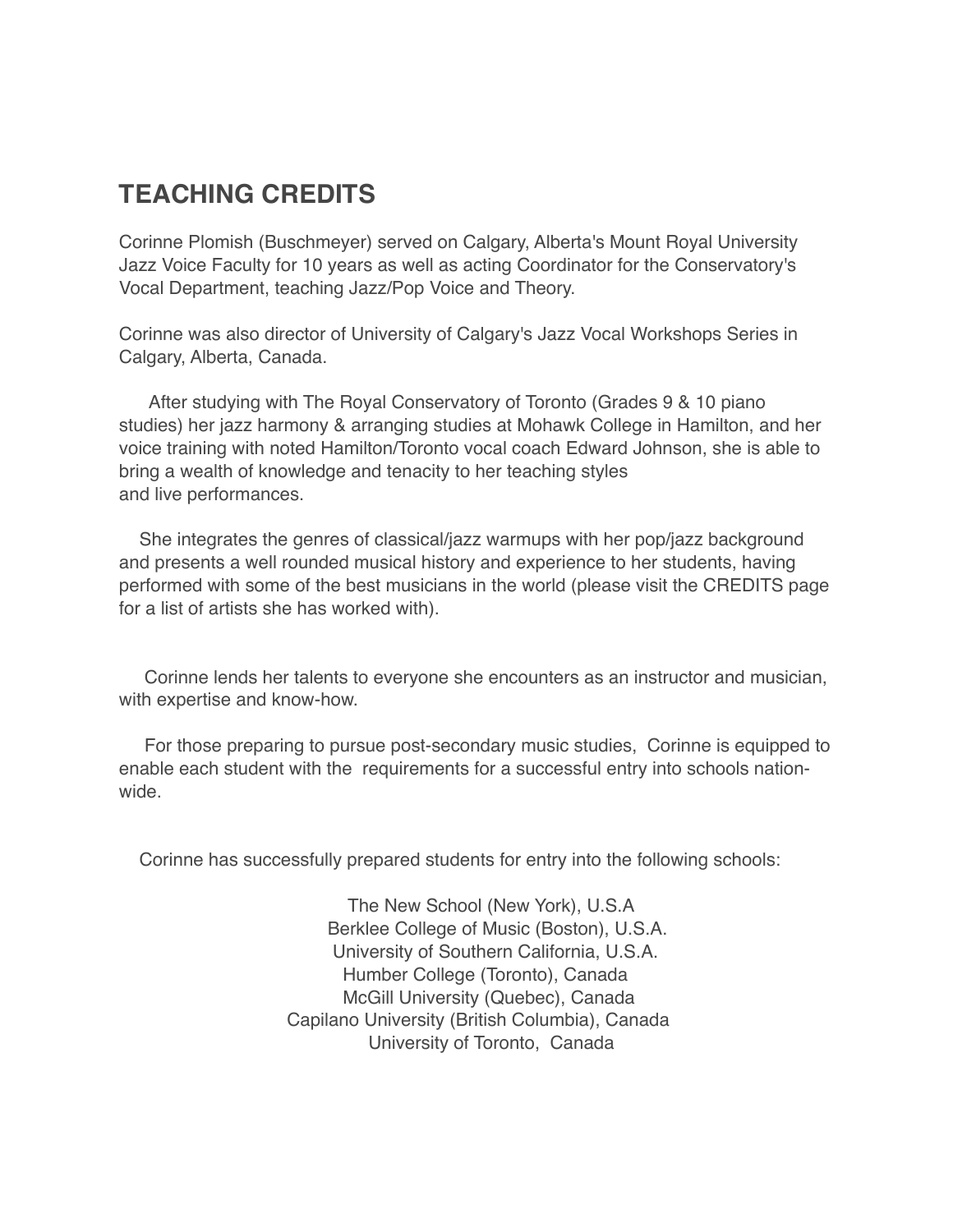## **TEACHING CREDITS**

Corinne Plomish (Buschmeyer) served on Calgary, Alberta's Mount Royal University Jazz Voice Faculty for 10 years as well as acting Coordinator for the Conservatory's Vocal Department, teaching Jazz/Pop Voice and Theory.

Corinne was also director of University of Calgary's Jazz Vocal Workshops Series in Calgary, Alberta, Canada.

 After studying with The Royal Conservatory of Toronto (Grades 9 & 10 piano studies) her jazz harmony & arranging studies at Mohawk College in Hamilton, and her voice training with noted Hamilton/Toronto vocal coach Edward Johnson, she is able to bring a wealth of knowledge and tenacity to her teaching styles and live performances.

 She integrates the genres of classical/jazz warmups with her pop/jazz background and presents a well rounded musical history and experience to her students, having performed with some of the best musicians in the world (please visit the CREDITS page for a list of artists she has worked with).

 Corinne lends her talents to everyone she encounters as an instructor and musician, with expertise and know-how.

 For those preparing to pursue post-secondary music studies, Corinne is equipped to enable each student with the requirements for a successful entry into schools nationwide.

Corinne has successfully prepared students for entry into the following schools:

 The New School (New York), U.S.A Berklee College of Music (Boston), U.S.A. University of Southern California, U.S.A. Humber College (Toronto), Canada McGill University (Quebec), Canada Capilano University (British Columbia), Canada University of Toronto, Canada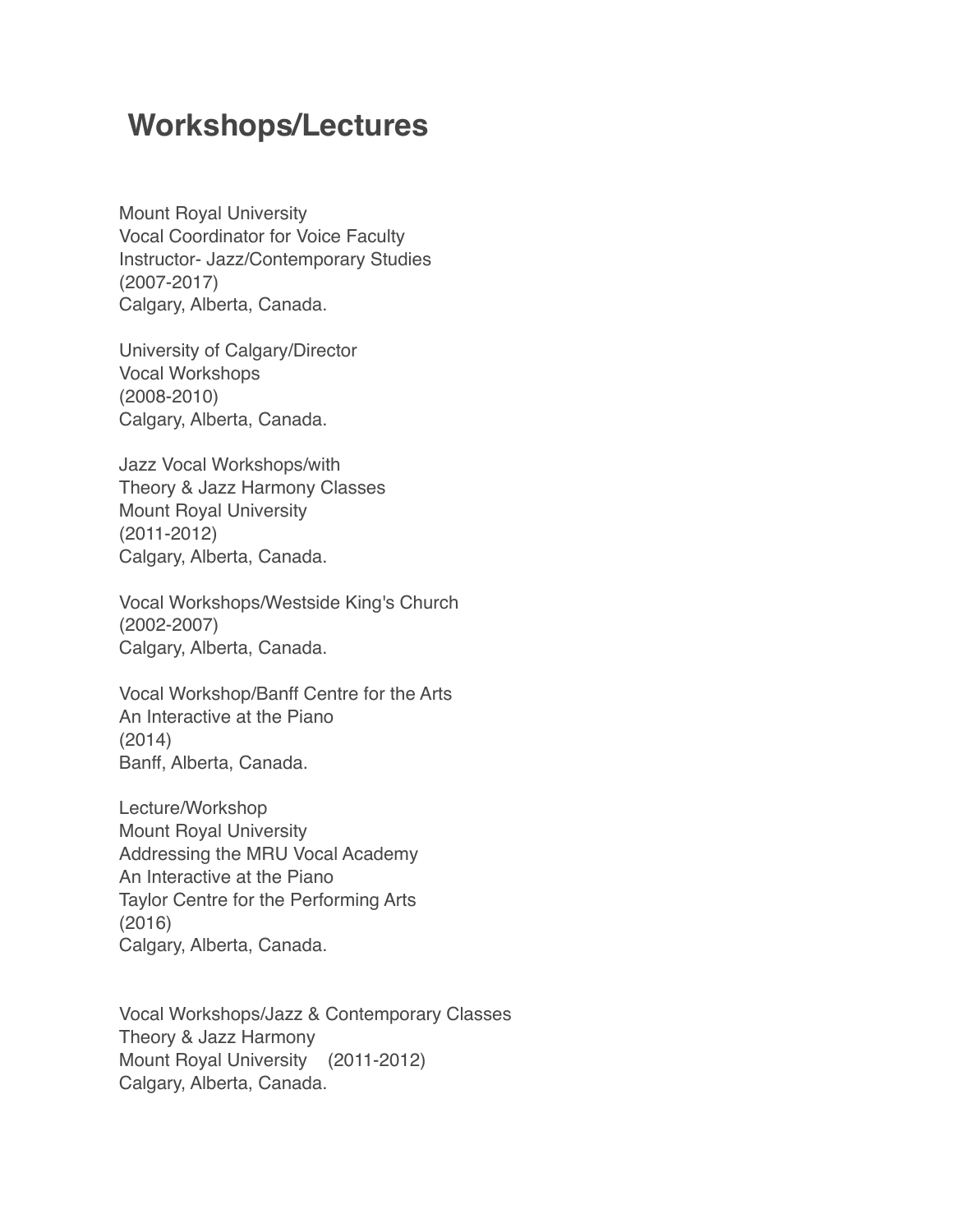## **Workshops/Lectures**

Mount Royal University Vocal Coordinator for Voice Faculty Instructor- Jazz/Contemporary Studies (2007-2017) Calgary, Alberta, Canada.

University of Calgary/Director Vocal Workshops (2008-2010) Calgary, Alberta, Canada.

Jazz Vocal Workshops/with Theory & Jazz Harmony Classes Mount Royal University (2011-2012) Calgary, Alberta, Canada.

Vocal Workshops/Westside King's Church (2002-2007) Calgary, Alberta, Canada.

Vocal Workshop/Banff Centre for the Arts An Interactive at the Piano (2014) Banff, Alberta, Canada.

Lecture/Workshop Mount Royal University Addressing the MRU Vocal Academy An Interactive at the Piano Taylor Centre for the Performing Arts (2016) Calgary, Alberta, Canada.

Vocal Workshops/Jazz & Contemporary Classes Theory & Jazz Harmony Mount Royal University (2011-2012) Calgary, Alberta, Canada.